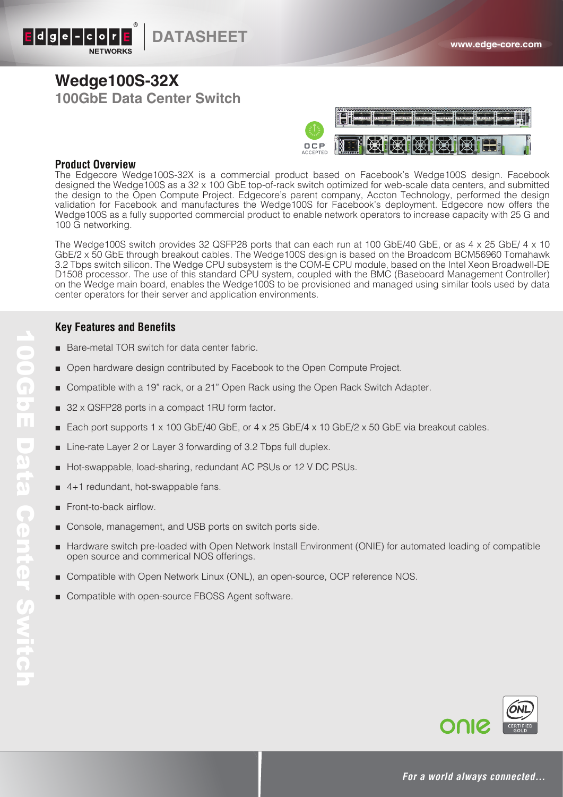

### **Wedge100S-32X 100GbE Data Center Switch**



#### **Product Overview**

The Edgecore Wedge100S-32X is a commercial product based on Facebook's Wedge100S design. Facebook designed the Wedge100S as a 32 x 100 GbE top-of-rack switch optimized for web-scale data centers, and submitted the design to the Open Compute Project. Edgecore's parent company, Accton Technology, performed the design validation for Facebook and manufactures the Wedge100S for Facebook's deployment. Edgecore now offers the Wedge100S as a fully supported commercial product to enable network operators to increase capacity with 25 G and 100 G networking.

The Wedge100S switch provides 32 QSFP28 ports that can each run at 100 GbE/40 GbE, or as 4 x 25 GbE/ 4 x 10 GbE/2 x 50 GbE through breakout cables. The Wedge100S design is based on the Broadcom BCM56960 Tomahawk 3.2 Tbps switch silicon. The Wedge CPU subsystem is the COM-E CPU module, based on the Intel Xeon Broadwell-DE D1508 processor. The use of this standard CPU system, coupled with the BMC (Baseboard Management Controller) on the Wedge main board, enables the Wedge100S to be provisioned and managed using similar tools used by data center operators for their server and application environments.

#### **Key Features and Benefits**

- Bare-metal TOR switch for data center fabric.
- Open hardware design contributed by Facebook to the Open Compute Project.
- Compatible with a 19" rack, or a 21" Open Rack using the Open Rack Switch Adapter.
- 32 x QSFP28 ports in a compact 1RU form factor.
- Each port supports 1 x 100 GbE/40 GbE, or 4 x 25 GbE/4 x 10 GbE/2 x 50 GbE via breakout cables.
- Line-rate Layer 2 or Layer 3 forwarding of 3.2 Tbps full duplex.
- Hot-swappable, load-sharing, redundant AC PSUs or 12 V DC PSUs.
- 4+1 redundant, hot-swappable fans.
- Front-to-back airflow.
- Console, management, and USB ports on switch ports side.
- Hardware switch pre-loaded with Open Network Install Environment (ONIE) for automated loading of compatible open source and commerical NOS offerings.
- Compatible with Open Network Linux (ONL), an open-source, OCP reference NOS.
- Compatible with open-source FBOSS Agent software.



*For a world always connected…*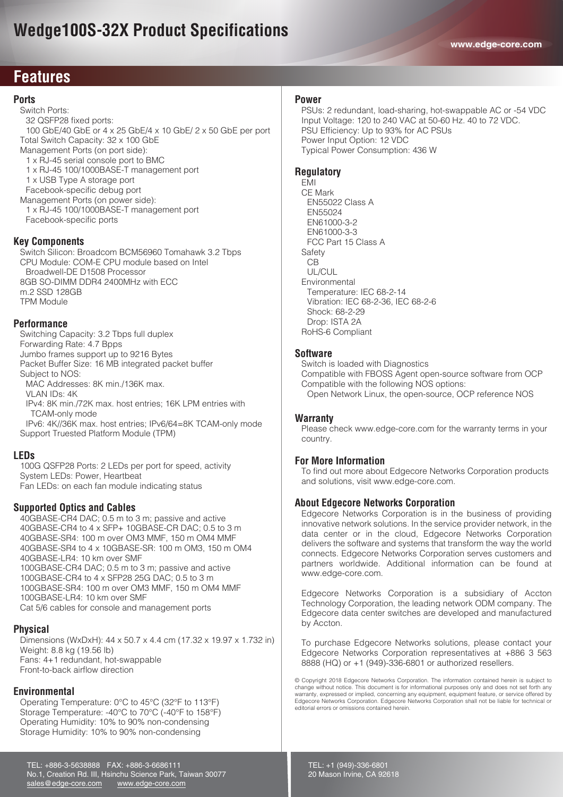### **Features**

#### **Ports**

 Switch Ports: 32 QSFP28 fixed ports: 100 GbE/40 GbE or 4 x 25 GbE/4 x 10 GbE/ 2 x 50 GbE per port Total Switch Capacity: 32 x 100 GbE Management Ports (on port side): 1 x RJ-45 serial console port to BMC 1 x RJ-45 100/1000BASE-T management port 1 x USB Type A storage port Facebook-specific debug port

 Management Ports (on power side): 1 x RJ-45 100/1000BASE-T management port Facebook-specific ports

#### **Key Components**

 Switch Silicon: Broadcom BCM56960 Tomahawk 3.2 Tbps CPU Module: COM-E CPU module based on Intel Broadwell-DE D1508 Processor 8GB SO-DIMM DDR4 2400MHz with ECC m.2 SSD 128GB TPM Module

#### **Performance**

 Switching Capacity: 3.2 Tbps full duplex Forwarding Rate: 4.7 Bpps Jumbo frames support up to 9216 Bytes Packet Buffer Size: 16 MB integrated packet buffer Subject to NOS: MAC Addresses: 8K min./136K max. VLAN IDs: 4K IPv4: 8K min./72K max. host entries; 16K LPM entries with TCAM-only mode

 IPv6: 4K//36K max. host entries; IPv6/64=8K TCAM-only mode Support Truested Platform Module (TPM)

#### **LEDs**

 100G QSFP28 Ports: 2 LEDs per port for speed, activity System LEDs: Power, Heartbeat Fan LEDs: on each fan module indicating status

#### **Supported Optics and Cables**

 40GBASE-CR4 DAC; 0.5 m to 3 m; passive and active 40GBASE-CR4 to 4 x SFP+ 10GBASE-CR DAC; 0.5 to 3 m 40GBASE-SR4: 100 m over OM3 MMF, 150 m OM4 MMF 40GBASE-SR4 to 4 x 10GBASE-SR: 100 m OM3, 150 m OM4 40GBASE-LR4: 10 km over SMF 100GBASE-CR4 DAC; 0.5 m to 3 m; passive and active 100GBASE-CR4 to 4 x SFP28 25G DAC; 0.5 to 3 m 100GBASE-SR4: 100 m over OM3 MMF, 150 m OM4 MMF 100GBASE-LR4: 10 km over SMF Cat 5/6 cables for console and management ports

#### **Physical**

 Dimensions (WxDxH): 44 x 50.7 x 4.4 cm (17.32 x 19.97 x 1.732 in) Weight: 8.8 kg (19.56 lb) Fans: 4+1 redundant, hot-swappable Front-to-back airflow direction

#### **Environmental**

 Operating Temperature: 0°C to 45°C (32°F to 113°F) Storage Temperature: -40°C to 70°C (-40°F to 158°F) Operating Humidity: 10% to 90% non-condensing Storage Humidity: 10% to 90% non-condensing

TEL: +886-3-5638888 FAX: +886-3-6686111

#### **Power**

 PSUs: 2 redundant, load-sharing, hot-swappable AC or -54 VDC Input Voltage: 120 to 240 VAC at 50-60 Hz. 40 to 72 VDC. PSU Efficiency: Up to 93% for AC PSUs Power Input Option: 12 VDC Typical Power Consumption: 436 W

#### **Regulatory**

 EMI CE Mark EN55022 Class A EN55024 EN61000-3-2 EN61000-3-3 FCC Part 15 Class A Safety CB UL/CUL Environmental Temperature: IEC 68-2-14 Vibration: IEC 68-2-36, IEC 68-2-6 Shock: 68-2-29 Drop: ISTA 2A RoHS-6 Compliant

#### **Software**

 Switch is loaded with Diagnostics Compatible with FBOSS Agent open-source software from OCP Compatible with the following NOS options: Open Network Linux, the open-source, OCP reference NOS

#### **Warranty**

 Please check www.edge-core.com for the warranty terms in your country.

#### **For More Information**

To find out more about Edgecore Networks Corporation products and solutions, visit www.edge-core.com.

#### **About Edgecore Networks Corporation**

Edgecore Networks Corporation is in the business of providing innovative network solutions. In the service provider network, in the data center or in the cloud, Edgecore Networks Corporation delivers the software and systems that transform the way the world connects. Edgecore Networks Corporation serves customers and partners worldwide. Additional information can be found at www.edge-core.com.

Edgecore Networks Corporation is a subsidiary of Accton Technology Corporation, the leading network ODM company. The Edgecore data center switches are developed and manufactured by Accton.

To purchase Edgecore Networks solutions, please contact your Edgecore Networks Corporation representatives at +886 3 563 8888 (HQ) or +1 (949)-336-6801 or authorized resellers.

© Copyright 2018 Edgecore Networks Corporation. The information contained herein is subject to change without notice. This document is for informational purposes only and does not set forth any warranty, expressed or implied, concerning any equipment, equipment feature, or service offered by Edgecore Networks Corporation. Edgecore Networks Corporation shall not be liable for technical or editorial errors or omissions contained herein.

No.1, Creation Rd. III, Hsinchu Science Park, Taiwan 30077 sales@edge-core.com www.edge-core.com TEL: +1 (949)-336-6801 20 Mason Irvine, CA 92618